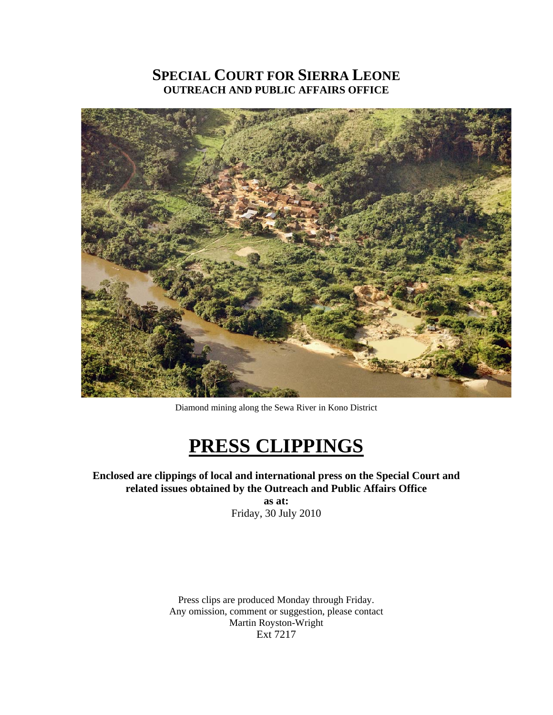# **SPECIAL COURT FOR SIERRA LEONE OUTREACH AND PUBLIC AFFAIRS OFFICE**



Diamond mining along the Sewa River in Kono District

# **PRESS CLIPPINGS**

**Enclosed are clippings of local and international press on the Special Court and related issues obtained by the Outreach and Public Affairs Office as at:**  Friday, 30 July 2010

Press clips are produced Monday through Friday. Any omission, comment or suggestion, please contact Martin Royston-Wright Ext 7217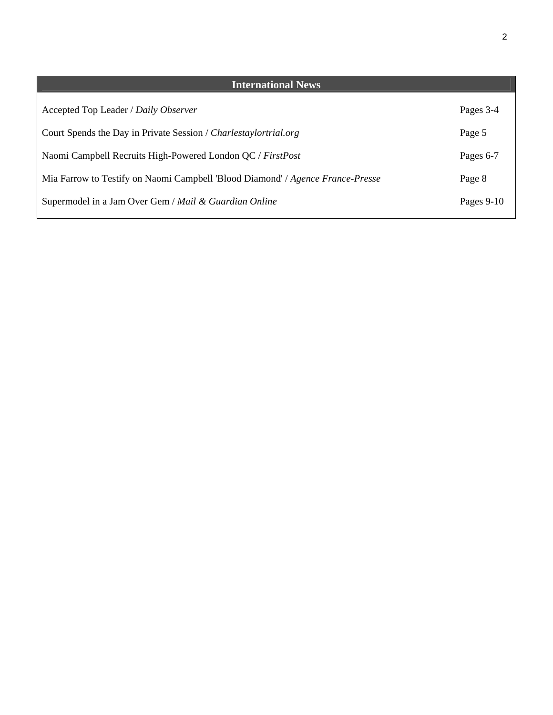| <b>International News</b>                                                           |              |
|-------------------------------------------------------------------------------------|--------------|
| Accepted Top Leader / Daily Observer                                                | Pages 3-4    |
| Court Spends the Day in Private Session / Charlestaylortrial.org                    | Page 5       |
| Naomi Campbell Recruits High-Powered London QC / FirstPost                          | Pages 6-7    |
| Mia Farrow to Testify on Naomi Campbell 'Blood Diamond' <i>Agence France-Presse</i> | Page 8       |
| Supermodel in a Jam Over Gem / Mail & Guardian Online                               | Pages $9-10$ |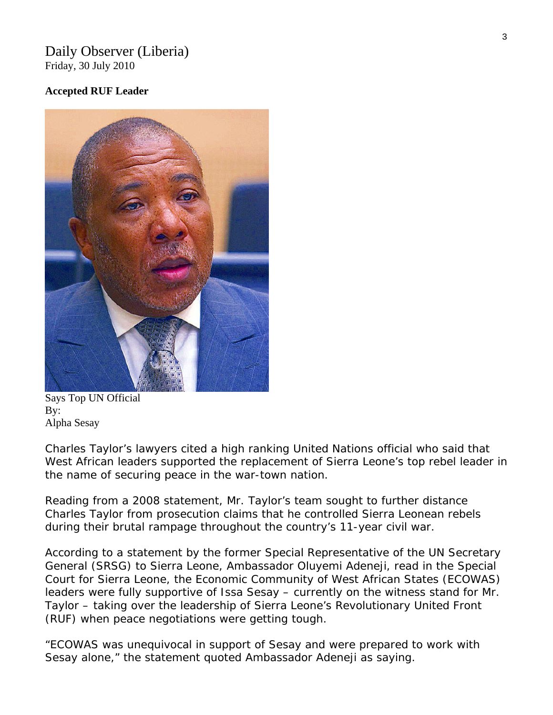#### Daily Observer (Liberia) Friday, 30 July 2010

#### **Accepted RUF Leader**



[Says Top UN Official](http://www.liberianobserver.com/node/3020)  By: Alpha Sesay

Charles Taylor's lawyers cited a high ranking United Nations official who said that West African leaders supported the replacement of Sierra Leone's top rebel leader in the name of securing peace in the war-town nation.

Reading from a 2008 statement, Mr. Taylor's team sought to further distance Charles Taylor from prosecution claims that he controlled Sierra Leonean rebels during their brutal rampage throughout the country's 11-year civil war.

According to a statement by the former Special Representative of the UN Secretary General (SRSG) to Sierra Leone, Ambassador Oluyemi Adeneji, read in the Special Court for Sierra Leone, the Economic Community of West African States (ECOWAS) leaders were fully supportive of Issa Sesay – currently on the witness stand for Mr. Taylor – taking over the leadership of Sierra Leone's Revolutionary United Front (RUF) when peace negotiations were getting tough.

"ECOWAS was unequivocal in support of Sesay and were prepared to work with Sesay alone," the statement quoted Ambassador Adeneji as saying.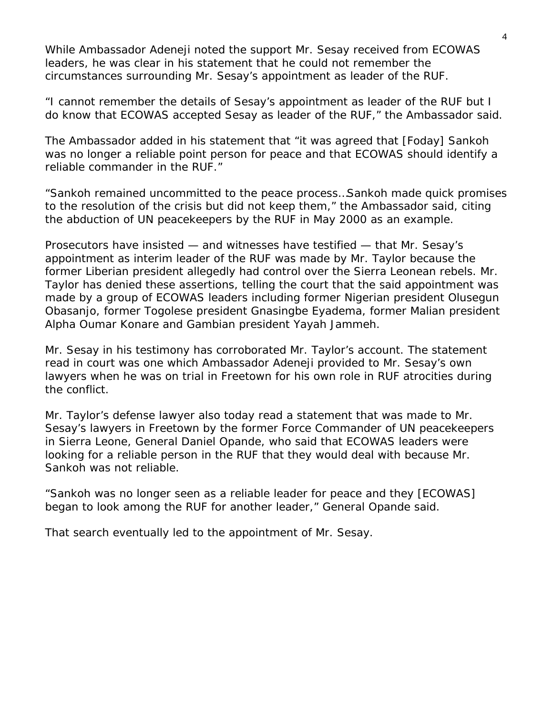While Ambassador Adeneji noted the support Mr. Sesay received from ECOWAS leaders, he was clear in his statement that he could not remember the circumstances surrounding Mr. Sesay's appointment as leader of the RUF.

"I cannot remember the details of Sesay's appointment as leader of the RUF but I do know that ECOWAS accepted Sesay as leader of the RUF," the Ambassador said.

The Ambassador added in his statement that "it was agreed that [Foday] Sankoh was no longer a reliable point person for peace and that ECOWAS should identify a reliable commander in the RUF."

"Sankoh remained uncommitted to the peace process…Sankoh made quick promises to the resolution of the crisis but did not keep them," the Ambassador said, citing the abduction of UN peacekeepers by the RUF in May 2000 as an example.

Prosecutors have insisted — and witnesses have testified — that Mr. Sesay's appointment as interim leader of the RUF was made by Mr. Taylor because the former Liberian president allegedly had control over the Sierra Leonean rebels. Mr. Taylor has denied these assertions, telling the court that the said appointment was made by a group of ECOWAS leaders including former Nigerian president Olusegun Obasanjo, former Togolese president Gnasingbe Eyadema, former Malian president Alpha Oumar Konare and Gambian president Yayah Jammeh.

Mr. Sesay in his testimony has corroborated Mr. Taylor's account. The statement read in court was one which Ambassador Adeneji provided to Mr. Sesay's own lawyers when he was on trial in Freetown for his own role in RUF atrocities during the conflict.

Mr. Taylor's defense lawyer also today read a statement that was made to Mr. Sesay's lawyers in Freetown by the former Force Commander of UN peacekeepers in Sierra Leone, General Daniel Opande, who said that ECOWAS leaders were looking for a reliable person in the RUF that they would deal with because Mr. Sankoh was not reliable.

"Sankoh was no longer seen as a reliable leader for peace and they [ECOWAS] began to look among the RUF for another leader," General Opande said.

That search eventually led to the appointment of Mr. Sesay.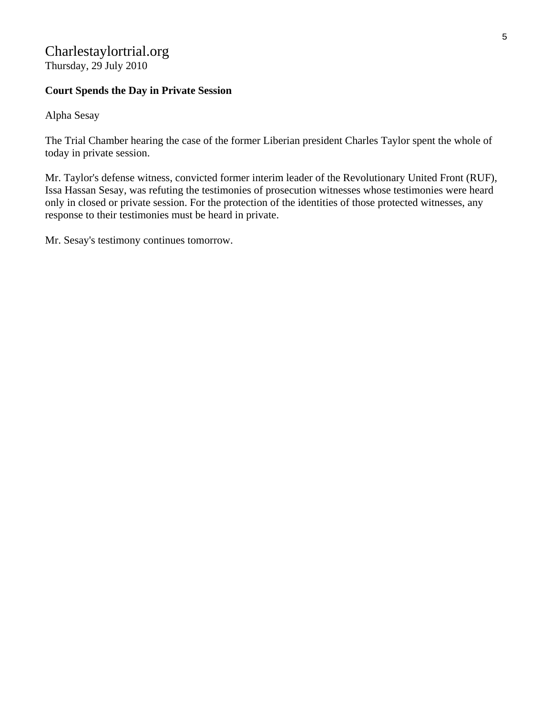## Charlestaylortrial.org Thursday, 29 July 2010

### **Court Spends the Day in Private Session**

Alpha Sesay

The Trial Chamber hearing the case of the former Liberian president Charles Taylor spent the whole of today in private session.

Mr. Taylor's defense witness, convicted former interim leader of the Revolutionary United Front (RUF), Issa Hassan Sesay, was refuting the testimonies of prosecution witnesses whose testimonies were heard only in closed or private session. For the protection of the identities of those protected witnesses, any response to their testimonies must be heard in private.

Mr. Sesay's testimony continues tomorrow.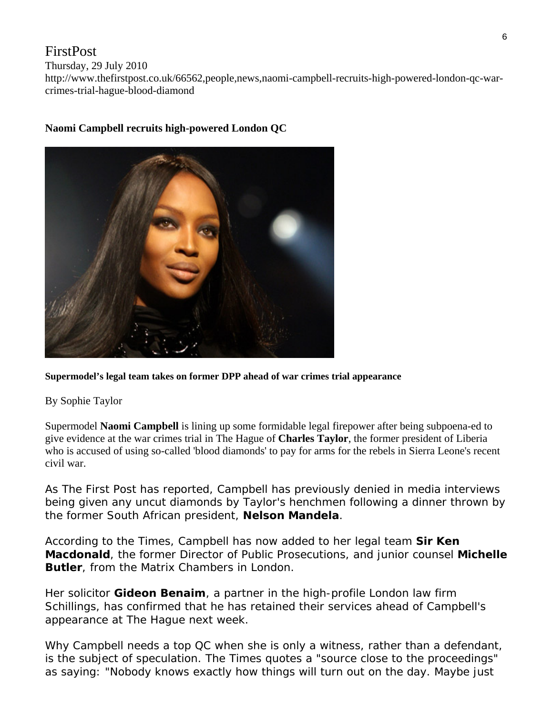## FirstPost

Thursday, 29 July 2010

http://www.thefirstpost.co.uk/66562,people,news,naomi-campbell-recruits-high-powered-london-qc-warcrimes-trial-hague-blood-diamond



## **Naomi Campbell recruits high-powered London QC**

#### **Supermodel's legal team takes on former DPP ahead of war crimes trial appearance**

#### By Sophie Taylor

Supermodel **Naomi Campbell** is lining up some formidable legal firepower after being subpoena-ed to give evidence at the war crimes trial in The Hague of **Charles Taylor**, the former president of Liberia who is accused of using so-called 'blood diamonds' to pay for arms for the rebels in Sierra Leone's recent civil war.

As *The First Post* has reported, Campbell has previously denied in media interviews being given any uncut diamonds by Taylor's henchmen following a dinner thrown by the former South African president, **Nelson Mandela**.

According to the *Times*, Campbell has now added to her legal team **Sir Ken Macdonald**, the former Director of Public Prosecutions, and junior counsel **Michelle Butler**, from the Matrix Chambers in London.

Her solicitor **Gideon Benaim**, a partner in the high-profile London law firm Schillings, has confirmed that he has retained their services ahead of Campbell's appearance at The Hague next week.

Why Campbell needs a top QC when she is only a witness, rather than a defendant, is the subject of speculation. The *Times* quotes a "source close to the proceedings" as saying: "Nobody knows exactly how things will turn out on the day. Maybe just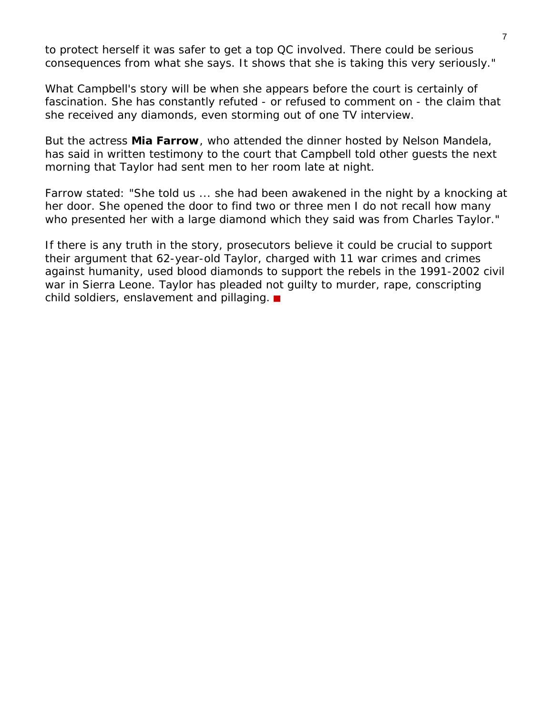to protect herself it was safer to get a top QC involved. There could be serious consequences from what she says. It shows that she is taking this very seriously."

What Campbell's story will be when she appears before the court is certainly of fascination. She has constantly refuted - or refused to comment on - the claim that she received any diamonds, even storming out of one TV interview.

But the actress **Mia Farrow**, who attended the dinner hosted by Nelson Mandela, has said in written testimony to the court that Campbell told other guests the next morning that Taylor had sent men to her room late at night.

Farrow stated: "She told us ... she had been awakened in the night by a knocking at her door. She opened the door to find two or three men I do not recall how many who presented her with a large diamond which they said was from Charles Taylor."

If there is any truth in the story, prosecutors believe it could be crucial to support their argument that 62-year-old Taylor, charged with 11 war crimes and crimes against humanity, used blood diamonds to support the rebels in the 1991-2002 civil war in Sierra Leone. Taylor has pleaded not guilty to murder, rape, conscripting child soldiers, enslavement and pillaging.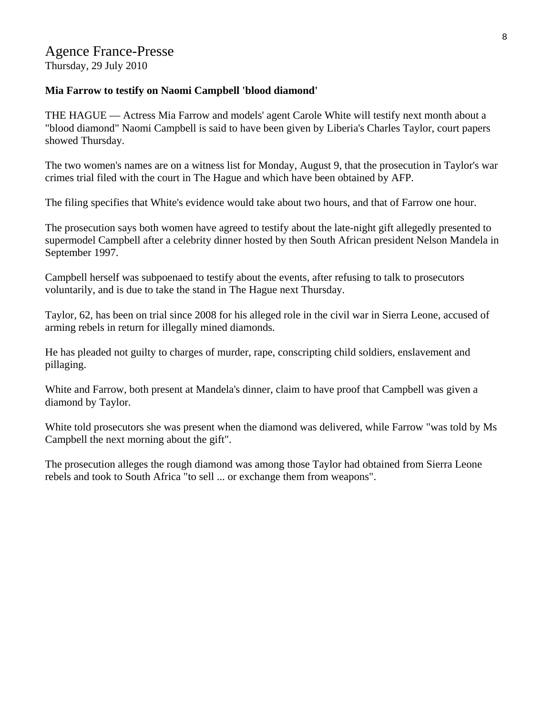**Mia Farrow to testify on Naomi Campbell 'blood diamond'** 

THE HAGUE — Actress Mia Farrow and models' agent Carole White will testify next month about a "blood diamond" Naomi Campbell is said to have been given by Liberia's Charles Taylor, court papers showed Thursday.

The two women's names are on a witness list for Monday, August 9, that the prosecution in Taylor's war crimes trial filed with the court in The Hague and which have been obtained by AFP.

The filing specifies that White's evidence would take about two hours, and that of Farrow one hour.

The prosecution says both women have agreed to testify about the late-night gift allegedly presented to supermodel Campbell after a celebrity dinner hosted by then South African president Nelson Mandela in September 1997.

Campbell herself was subpoenaed to testify about the events, after refusing to talk to prosecutors voluntarily, and is due to take the stand in The Hague next Thursday.

Taylor, 62, has been on trial since 2008 for his alleged role in the civil war in Sierra Leone, accused of arming rebels in return for illegally mined diamonds.

He has pleaded not guilty to charges of murder, rape, conscripting child soldiers, enslavement and pillaging.

White and Farrow, both present at Mandela's dinner, claim to have proof that Campbell was given a diamond by Taylor.

White told prosecutors she was present when the diamond was delivered, while Farrow "was told by Ms Campbell the next morning about the gift".

The prosecution alleges the rough diamond was among those Taylor had obtained from Sierra Leone rebels and took to South Africa "to sell ... or exchange them from weapons".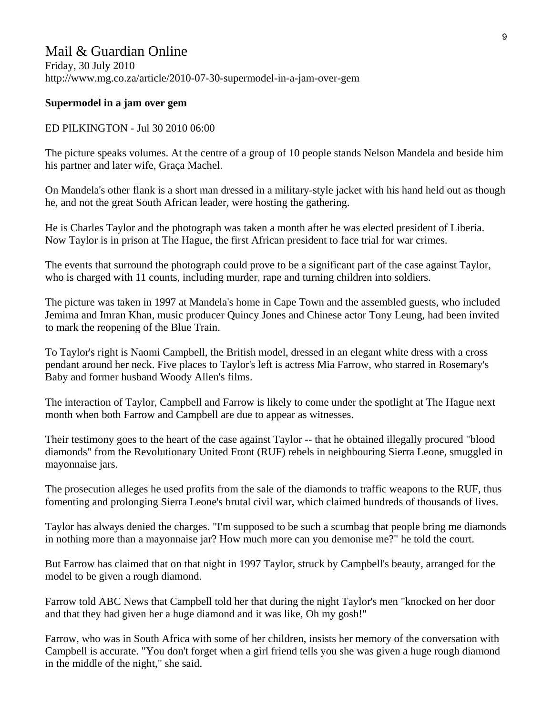# Mail & Guardian Online

Friday, 30 July 2010 http://www.mg.co.za/article/2010-07-30-supermodel-in-a-jam-over-gem

#### **Supermodel in a jam over gem**

#### ED PILKINGTON - Jul 30 2010 06:00

The picture speaks volumes. At the centre of a group of 10 people stands Nelson Mandela and beside him his partner and later wife, Graça Machel.

On Mandela's other flank is a short man dressed in a military-style jacket with his hand held out as though he, and not the great South African leader, were hosting the gathering.

He is Charles Taylor and the photograph was taken a month after he was elected president of Liberia. Now Taylor is in prison at The Hague, the first African president to face trial for war crimes.

The events that surround the photograph could prove to be a significant part of the case against Taylor, who is charged with 11 counts, including murder, rape and turning children into soldiers.

The picture was taken in 1997 at Mandela's home in Cape Town and the assembled guests, who included Jemima and Imran Khan, music producer Quincy Jones and Chinese actor Tony Leung, had been invited to mark the reopening of the Blue Train.

To Taylor's right is Naomi Campbell, the British model, dressed in an elegant white dress with a cross pendant around her neck. Five places to Taylor's left is actress Mia Farrow, who starred in Rosemary's Baby and former husband Woody Allen's films.

The interaction of Taylor, Campbell and Farrow is likely to come under the spotlight at The Hague next month when both Farrow and Campbell are due to appear as witnesses.

Their testimony goes to the heart of the case against Taylor -- that he obtained illegally procured "blood diamonds" from the Revolutionary United Front (RUF) rebels in neighbouring Sierra Leone, smuggled in mayonnaise jars.

The prosecution alleges he used profits from the sale of the diamonds to traffic weapons to the RUF, thus fomenting and prolonging Sierra Leone's brutal civil war, which claimed hundreds of thousands of lives.

Taylor has always denied the charges. "I'm supposed to be such a scumbag that people bring me diamonds in nothing more than a mayonnaise jar? How much more can you demonise me?" he told the court.

But Farrow has claimed that on that night in 1997 Taylor, struck by Campbell's beauty, arranged for the model to be given a rough diamond.

Farrow told ABC News that Campbell told her that during the night Taylor's men "knocked on her door and that they had given her a huge diamond and it was like, Oh my gosh!"

Farrow, who was in South Africa with some of her children, insists her memory of the conversation with Campbell is accurate. "You don't forget when a girl friend tells you she was given a huge rough diamond in the middle of the night," she said.